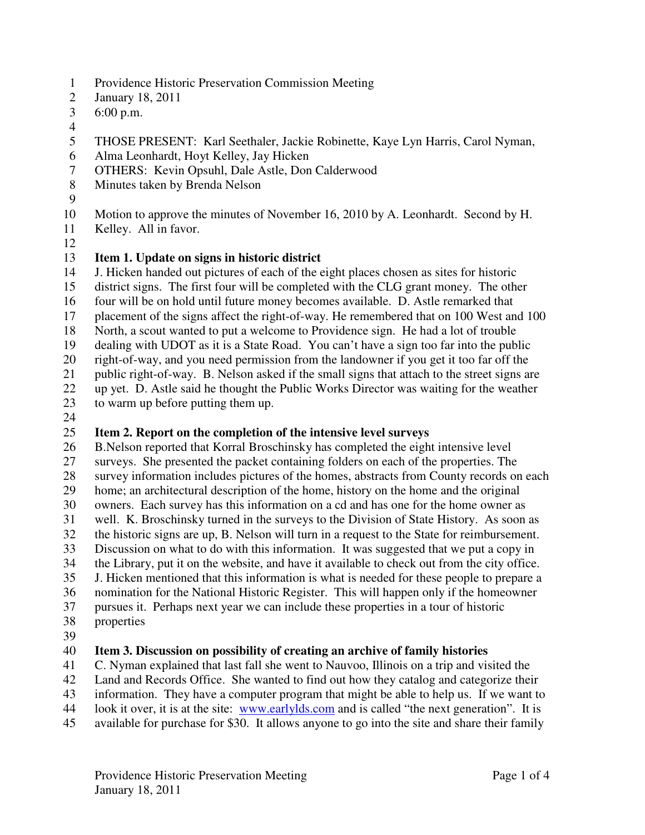- 1 Providence Historic Preservation Commission Meeting
- 2 January 18, 2011
- 3 6:00 p.m.
- 4
- 5 THOSE PRESENT: Karl Seethaler, Jackie Robinette, Kaye Lyn Harris, Carol Nyman,
- 6 Alma Leonhardt, Hoyt Kelley, Jay Hicken
- 7 OTHERS: Kevin Opsuhl, Dale Astle, Don Calderwood
- 8 Minutes taken by Brenda Nelson
- 9
- 10 Motion to approve the minutes of November 16, 2010 by A. Leonhardt. Second by H.
- 11 Kelley. All in favor.
- 12

#### 13 **Item 1. Update on signs in historic district**

14 J. Hicken handed out pictures of each of the eight places chosen as sites for historic

15 district signs. The first four will be completed with the CLG grant money. The other

- 16 four will be on hold until future money becomes available. D. Astle remarked that
- 17 placement of the signs affect the right-of-way. He remembered that on 100 West and 100
- 18 North, a scout wanted to put a welcome to Providence sign. He had a lot of trouble

19 dealing with UDOT as it is a State Road. You can't have a sign too far into the public

20 right-of-way, and you need permission from the landowner if you get it too far off the

21 public right-of-way. B. Nelson asked if the small signs that attach to the street signs are

- 22 up yet. D. Astle said he thought the Public Works Director was waiting for the weather
- 23 to warm up before putting them up.
- 24

# 25 **Item 2. Report on the completion of the intensive level surveys**<br>26 **B.Nelson reported that Korral Broschinsky has completed the eight**

26 B.Nelson reported that Korral Broschinsky has completed the eight intensive level 27 surveys. She presented the packet containing folders on each of the properties. The 28 survey information includes pictures of the homes, abstracts from County records on each 29 home; an architectural description of the home, history on the home and the original 30 owners. Each survey has this information on a cd and has one for the home owner as 31 well. K. Broschinsky turned in the surveys to the Division of State History. As soon as the historic signs are up. B. Nelson will turn in a request to the State for reimbursement. the historic signs are up, B. Nelson will turn in a request to the State for reimbursement. 33 Discussion on what to do with this information. It was suggested that we put a copy in 34 the Library, put it on the website, and have it available to check out from the city office. 35 J. Hicken mentioned that this information is what is needed for these people to prepare a 36 nomination for the National Historic Register. This will happen only if the homeowner

37 pursues it. Perhaps next year we can include these properties in a tour of historic 38 properties

39

### 40 **Item 3. Discussion on possibility of creating an archive of family histories**

41 C. Nyman explained that last fall she went to Nauvoo, Illinois on a trip and visited the

42 Land and Records Office. She wanted to find out how they catalog and categorize their

43 information. They have a computer program that might be able to help us. If we want to

- 44 look it over, it is at the site: www.earlylds.com and is called "the next generation". It is
- 45 available for purchase for \$30. It allows anyone to go into the site and share their family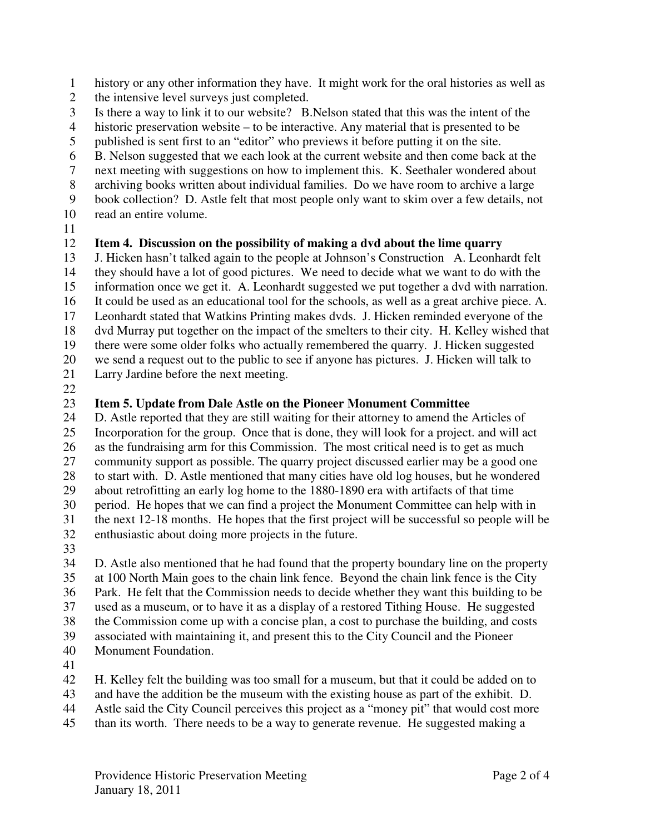1 history or any other information they have. It might work for the oral histories as well as

- 2 the intensive level surveys just completed.
- 3 Is there a way to link it to our website? B.Nelson stated that this was the intent of the
- 4 historic preservation website to be interactive. Any material that is presented to be
- 5 published is sent first to an "editor" who previews it before putting it on the site.
- 6 B. Nelson suggested that we each look at the current website and then come back at the
- 7 next meeting with suggestions on how to implement this. K. Seethaler wondered about
- 8 archiving books written about individual families. Do we have room to archive a large
- 9 book collection? D. Astle felt that most people only want to skim over a few details, not
- 10 read an entire volume.
- 11

#### 12 **Item 4. Discussion on the possibility of making a dvd about the lime quarry**

13 J. Hicken hasn't talked again to the people at Johnson's Construction A. Leonhardt felt 14 they should have a lot of good pictures. We need to decide what we want to do with the 15 information once we get it. A. Leonhardt suggested we put together a dvd with narration. 16 It could be used as an educational tool for the schools, as well as a great archive piece. A. 17 Leonhardt stated that Watkins Printing makes dvds. J. Hicken reminded everyone of the 18 dvd Murray put together on the impact of the smelters to their city. H. Kelley wished that 19 there were some older folks who actually remembered the quarry. J. Hicken suggested 20 we send a request out to the public to see if anyone has pictures. J. Hicken will talk to

- 21 Larry Jardine before the next meeting.
- 22

#### 23 **Item 5. Update from Dale Astle on the Pioneer Monument Committee**

24 D. Astle reported that they are still waiting for their attorney to amend the Articles of 25 Incorporation for the group. Once that is done, they will look for a project. and will act 26 as the fundraising arm for this Commission. The most critical need is to get as much 27 community support as possible. The quarry project discussed earlier may be a good one 28 to start with. D. Astle mentioned that many cities have old log houses, but he wondered 29 about retrofitting an early log home to the 1880-1890 era with artifacts of that time 30 period. He hopes that we can find a project the Monument Committee can help with in 31 the next 12-18 months. He hopes that the first project will be successful so people will be enthusiastic about doing more projects in the future. enthusiastic about doing more projects in the future.

33

34 D. Astle also mentioned that he had found that the property boundary line on the property 35 at 100 North Main goes to the chain link fence. Beyond the chain link fence is the City 36 Park. He felt that the Commission needs to decide whether they want this building to be 37 used as a museum, or to have it as a display of a restored Tithing House. He suggested 38 the Commission come up with a concise plan, a cost to purchase the building, and costs 39 associated with maintaining it, and present this to the City Council and the Pioneer 40 Monument Foundation.

- 41
- 42 H. Kelley felt the building was too small for a museum, but that it could be added on to
- 43 and have the addition be the museum with the existing house as part of the exhibit. D.
- 44 Astle said the City Council perceives this project as a "money pit" that would cost more
- 45 than its worth. There needs to be a way to generate revenue. He suggested making a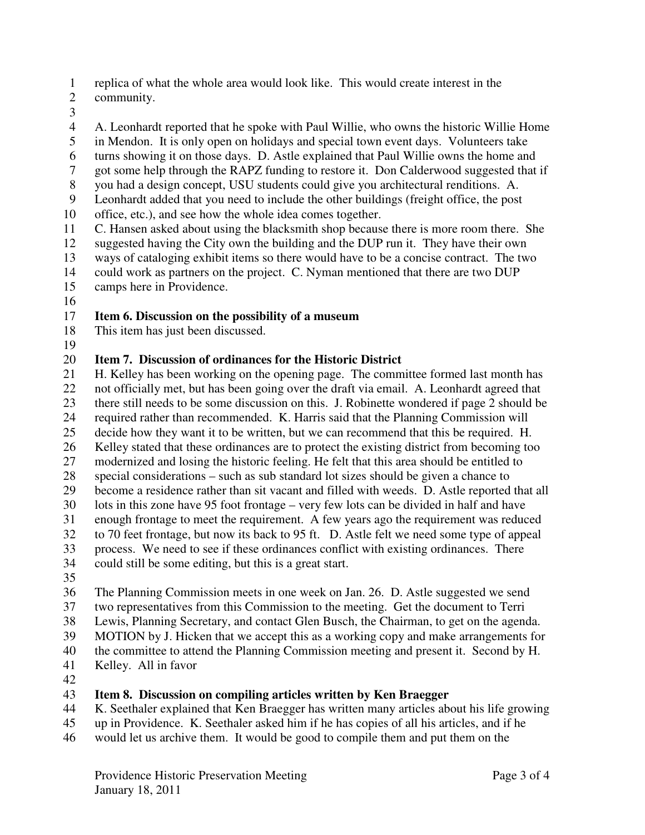- 1 replica of what the whole area would look like. This would create interest in the
- 2 community.
- 3
- 4 A. Leonhardt reported that he spoke with Paul Willie, who owns the historic Willie Home
- 5 in Mendon. It is only open on holidays and special town event days. Volunteers take
- 6 turns showing it on those days. D. Astle explained that Paul Willie owns the home and
- 7 got some help through the RAPZ funding to restore it. Don Calderwood suggested that if
- 8 you had a design concept, USU students could give you architectural renditions. A.
- 9 Leonhardt added that you need to include the other buildings (freight office, the post
- 10 office, etc.), and see how the whole idea comes together.
- 11 C. Hansen asked about using the blacksmith shop because there is more room there. She
- 12 suggested having the City own the building and the DUP run it. They have their own
- 13 ways of cataloging exhibit items so there would have to be a concise contract. The two
- 14 could work as partners on the project. C. Nyman mentioned that there are two DUP
- 15 camps here in Providence.
- 16

#### 17 **Item 6. Discussion on the possibility of a museum**

- 18 This item has just been discussed.
- 19

## 20 **Item 7. Discussion of ordinances for the Historic District** 21 **H** Kelley has been working on the opening page. The comm

- H. Kelley has been working on the opening page. The committee formed last month has 22 not officially met, but has been going over the draft via email. A. Leonhardt agreed that 23 there still needs to be some discussion on this. J. Robinette wondered if page 2 should be 24 required rather than recommended. K. Harris said that the Planning Commission will 25 decide how they want it to be written, but we can recommend that this be required. H. 26 Kelley stated that these ordinances are to protect the existing district from becoming too 27 modernized and losing the historic feeling. He felt that this area should be entitled to 28 special considerations – such as sub standard lot sizes should be given a chance to 29 become a residence rather than sit vacant and filled with weeds. D. Astle reported that all 30 lots in this zone have 95 foot frontage – very few lots can be divided in half and have 31 enough frontage to meet the requirement. A few years ago the requirement was reduced to 70 feet frontage, but now its back to 95 ft. D. Astle felt we need some type of appeal 32 to 70 feet frontage, but now its back to 95 ft. D. Astle felt we need some type of appeal
- 33 process. We need to see if these ordinances conflict with existing ordinances. There
- 
- 34 could still be some editing, but this is a great start.
- 35
- 36 The Planning Commission meets in one week on Jan. 26. D. Astle suggested we send
- 37 two representatives from this Commission to the meeting. Get the document to Terri
- 38 Lewis, Planning Secretary, and contact Glen Busch, the Chairman, to get on the agenda.
- 39 MOTION by J. Hicken that we accept this as a working copy and make arrangements for
- 40 the committee to attend the Planning Commission meeting and present it. Second by H.
- 41 Kelley. All in favor
- 42

#### 43 **Item 8. Discussion on compiling articles written by Ken Braegger**

- 44 K. Seethaler explained that Ken Braegger has written many articles about his life growing
- 45 up in Providence. K. Seethaler asked him if he has copies of all his articles, and if he
- 46 would let us archive them. It would be good to compile them and put them on the